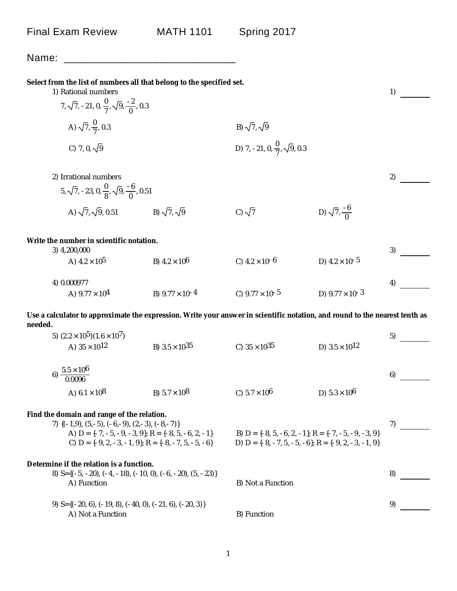| Name:                                                                                                                                  |                                                                                                                            |                                                |                                                                                                                            |    |
|----------------------------------------------------------------------------------------------------------------------------------------|----------------------------------------------------------------------------------------------------------------------------|------------------------------------------------|----------------------------------------------------------------------------------------------------------------------------|----|
| Select from the list of numbers all that belong to the specified set.<br>1) Rational numbers                                           |                                                                                                                            |                                                |                                                                                                                            | 1) |
| 7, $\sqrt{7}$ , -21, 0, $\frac{0}{7}$ , $\sqrt{9}$ , $\frac{-2}{0}$ , 0.3                                                              |                                                                                                                            |                                                |                                                                                                                            |    |
| A) $\sqrt{7}$ , $\frac{0}{7}$ , 0.3                                                                                                    |                                                                                                                            | B) $\sqrt{7}$ , $\sqrt{9}$                     |                                                                                                                            |    |
| C) 7, 0, $\sqrt{9}$                                                                                                                    |                                                                                                                            | D) 7, -21, 0, $\frac{0}{7}$ , $\sqrt{9}$ , 0.3 |                                                                                                                            |    |
| 2) Irrational numbers                                                                                                                  |                                                                                                                            |                                                |                                                                                                                            | 2) |
| 5, $\sqrt{7}$ , -23, 0, $\frac{0}{8}$ , $\sqrt{9}$ , $\frac{-6}{0}$ , 0.51                                                             |                                                                                                                            |                                                |                                                                                                                            |    |
| A) $\sqrt{7}$ , $\sqrt{9}$ , 0.51                                                                                                      | B) $\sqrt{7}$ , $\sqrt{9}$                                                                                                 | C) $\sqrt{7}$                                  | D) $\sqrt{7}$ , $\frac{-6}{0}$                                                                                             |    |
| Write the number in scientific notation.<br>3) 4,200,000                                                                               |                                                                                                                            |                                                |                                                                                                                            | 3) |
| A) $4.2 \times 10^5$                                                                                                                   | B) $4.2 \times 10^6$                                                                                                       | C) $4.2 \times 10^{-6}$                        | D) $4.2 \times 10^{-5}$                                                                                                    |    |
| 4) 0.000977                                                                                                                            |                                                                                                                            |                                                |                                                                                                                            | 4) |
| A) $9.77 \times 10^4$                                                                                                                  | B) $9.77 \times 10^{-4}$                                                                                                   | C) $9.77 \times 10^{-5}$                       | D) $9.77 \times 10^{-3}$                                                                                                   |    |
| Use a calculator to approximate the expression. Write your answer in scientific notation, and round to the nearest tenth as<br>needed. |                                                                                                                            |                                                |                                                                                                                            |    |
| 5) $(2.2 \times 10^5)(1.6 \times 10^7)$                                                                                                |                                                                                                                            |                                                |                                                                                                                            | 5) |
| A) $35 \times 10^{12}$                                                                                                                 | B) $3.5 \times 10^{35}$                                                                                                    | C) $35 \times 10^{35}$                         | D) $3.5 \times 10^{12}$                                                                                                    |    |
| 6) $\frac{5.5 \times 10^6}{0.0096}$                                                                                                    |                                                                                                                            |                                                |                                                                                                                            | 6) |
| A) $6.1 \times 10^8$                                                                                                                   | B) $5.7 \times 10^8$                                                                                                       | C) $5.7 \times 10^6$                           | D) $5.3 \times 10^6$                                                                                                       |    |
| Find the domain and range of the relation.<br>7) $\{(-1,9), (5,-5), (-6,-9), (2,-3), (-8,-7)\}$                                        | A) D = $\{-7, -5, -9, -3, 9\}$ ; R = $\{-8, 5, -6, 2, -1\}$<br>C) $D = \{-9, 2, -3, -1, 9\}$ ; $R = \{-8, -7, 5, -5, -6\}$ |                                                | B) D = $\{-8, 5, -6, 2, -1\}$ ; R = $\{-7, -5, -9, -3, 9\}$<br>D) D = $\{-8, -7, 5, -5, -6\}$ ; R = $\{-9, 2, -3, -1, 9\}$ | 7) |
| Determine if the relation is a function.<br>8) $S = \{ (-5, -20), (-4, -18), (-10, 0), (-6, -20), (5, -23) \}$<br>A) Function          |                                                                                                                            | B) Not a Function                              |                                                                                                                            | 8) |
| 9) $S = \{ (-20, 6), (-19, 8), (-40, 0), (-21, 6), (-20, 3) \}$<br>A) Not a Function                                                   |                                                                                                                            | B) Function                                    |                                                                                                                            | 9) |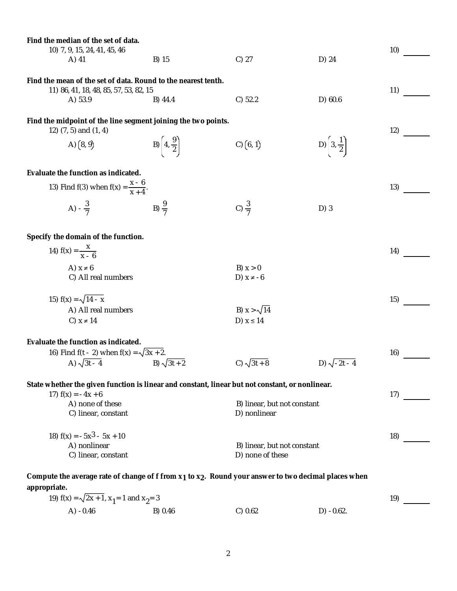| Find the median of the set of data.<br>10) 7, 9, 15, 24, 41, 45, 46                                                                          |                                  |                                                 |                                 | 10) |
|----------------------------------------------------------------------------------------------------------------------------------------------|----------------------------------|-------------------------------------------------|---------------------------------|-----|
| A) 41                                                                                                                                        | B) 15                            | $C)$ 27                                         | D) 24                           |     |
| Find the mean of the set of data. Round to the nearest tenth.<br>11) 86, 41, 18, 48, 85, 57, 53, 82, 15<br>A) 53.9                           | B) 44.4                          | C) 52.2                                         | D) 60.6                         | 11) |
| Find the midpoint of the line segment joining the two points.<br>12) (7, 5) and (1, 4)                                                       |                                  |                                                 |                                 | 12) |
| A) $(8, 9)$                                                                                                                                  | B) $\left(4, \frac{9}{2}\right)$ | C) (6, 1)                                       | D) $\left[3,\frac{1}{2}\right]$ |     |
| Evaluate the function as indicated.                                                                                                          |                                  |                                                 |                                 |     |
| 13) Find f(3) when $f(x) = \frac{x - 6}{x + 4}$ .                                                                                            |                                  |                                                 |                                 | 13) |
| A) $-\frac{3}{7}$                                                                                                                            | B) $\frac{9}{7}$                 | C) $\frac{3}{7}$                                | $D)$ 3                          |     |
| Specify the domain of the function.                                                                                                          |                                  |                                                 |                                 |     |
| 14) $f(x) = \frac{x}{x - 6}$                                                                                                                 |                                  |                                                 |                                 | 14) |
| A) $x \neq 6$<br>C) All real numbers                                                                                                         |                                  | B) $x > 0$<br>D) $x \ne -6$                     |                                 |     |
| 15) $f(x) = \sqrt{14 - x}$                                                                                                                   |                                  |                                                 |                                 | 15) |
| A) All real numbers                                                                                                                          |                                  | B) $x > \sqrt{14}$                              |                                 |     |
| C) $x \neq 14$                                                                                                                               |                                  | D) $x \le 14$                                   |                                 |     |
| Evaluate the function as indicated.<br>16) Find f(t - 2) when $f(x) = \sqrt{3x + 2}$ .                                                       |                                  |                                                 |                                 | 16) |
| A) $\sqrt{3t - 4}$                                                                                                                           | B) $\sqrt{3t + 2}$               | C) $\sqrt{3t+8}$                                | D) $\sqrt{-2t-4}$               |     |
| State whether the given function is linear and constant, linear but not constant, or nonlinear.<br>17) $f(x) = -4x + 6$                      |                                  |                                                 |                                 | 17) |
| A) none of these<br>C) linear, constant                                                                                                      |                                  | B) linear, but not constant<br>D) nonlinear     |                                 |     |
| 18) $f(x) = -5x^3 - 5x + 10$                                                                                                                 |                                  |                                                 |                                 | 18) |
| A) nonlinear<br>C) linear, constant                                                                                                          |                                  | B) linear, but not constant<br>D) none of these |                                 |     |
| Compute the average rate of change of f from x <sub>1</sub> to x <sub>2</sub> . Round your answer to two decimal places when<br>appropriate. |                                  |                                                 |                                 |     |
|                                                                                                                                              |                                  |                                                 |                                 |     |

| 19) $f(x) = \sqrt{2x + 1}$ , $x_1 = 1$ and $x_2 = 3$ |         |         |              |  |
|------------------------------------------------------|---------|---------|--------------|--|
| A) $-0.46$                                           | B) 0.46 | C) 0.62 | $D) -0.62$ . |  |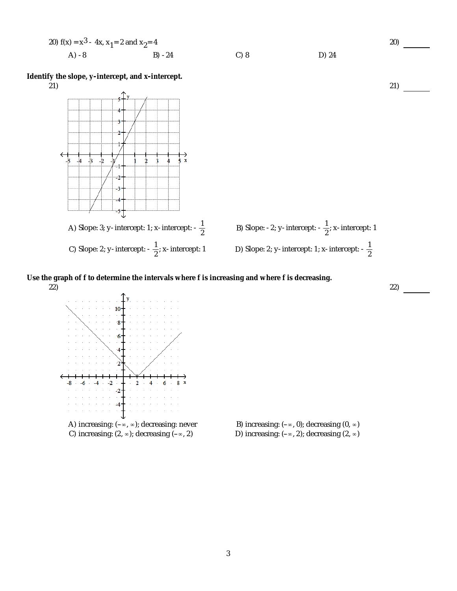20) 
$$
f(x) = x^3 - 4x, x_1 = 2
$$
 and  $x_2 = 4$   
\nA) -8  
\nB) -24  
\nC) 8  
\nD) 24

**Identify the slope, y-intercept, and x-intercept.**



**Use the graph of f to determine the intervals where f is increasing and where f is decreasing.**



C) increasing:  $(2, \infty)$ ; decreasing  $(-\infty, 2)$  D) increasing:  $(-\infty, 2)$ ; decreasing  $(2, \infty)$ 

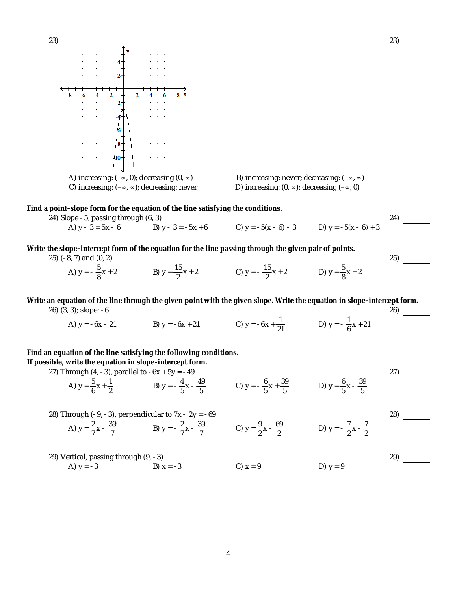

C) increasing:  $(-\infty, \infty)$ ; decreasing: never D) increasing:  $(0, \infty)$ ; decreasing  $(-\infty, 0)$ 

**Find a point-slope form for the equation of the line satisfying the conditions.**

24) Slope -5, passing through (6, 3) 24) 22, 24 and 24 and 24 and 24 and 24 and 24 and 24 and 24 and 24 and 24

A) y - 3 = 5x - 6 B) y - 3 = -5x + 6 C) y = -5(x - 6) - 3 D) y = -5(x - 6) + 3

**Write the slope-intercept form of the equation for the line passing through the given pair of points.** 25) (-8, 7) and (0, 2) 25)

A)  $y = -\frac{5}{8}x + 2$  B)  $y = \frac{15}{2}x + 2$  C)  $y = -\frac{15}{2}x + 2$  D)  $y = \frac{5}{8}x + 2$ 

**Write an equation of the line through the given point with the given slope. Write the equation in slope-intercept form.** 26) (3, 3); slope: -6 26)

A) y = -6x - 21 B) y = -6x + 21 C) y = -6x +  $\frac{1}{21}$  D) y =  $-\frac{1}{6}x + 21$ 

**Find an equation of the line satisfying the following conditions.**

**If possible, write the equation in slope-intercept form.**

27) Through  $(4, -3)$ , parallel to  $-6x + 5y = -49$  27)

A) 
$$
y = \frac{5}{6}x + \frac{1}{2}
$$
  
B)  $y = -\frac{4}{5}x - \frac{49}{5}$   
C)  $y = -\frac{6}{5}x + \frac{39}{5}$   
D)  $y = \frac{6}{5}x - \frac{39}{5}$ 



4

29) Vertical, passing through (9, -3) 29) A)  $y = -3$  B)  $x = -3$  C)  $x = 9$  D)  $y = 9$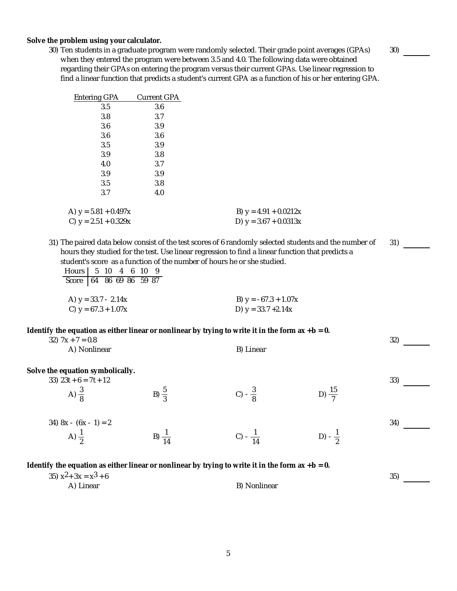**Solve the problem using your calculator.**

30) Ten students in a graduate program were randomly selected. Their grade point averages (GPAs) when they entered the program were between 3.5 and 4.0. The following data were obtained regarding their GPAs on entering the program versus their current GPAs. Use linear regression to find a linear function that predicts a student's current GPA as a function of his or her entering GPA.

| <b>Entering GPA</b>    | <b>Current GPA</b> |                         |
|------------------------|--------------------|-------------------------|
| 3.5                    | 3.6                |                         |
| 3.8                    | 3.7                |                         |
| 3.6                    | 3.9                |                         |
| 3.6                    | 3.6                |                         |
| 3.5                    | 3.9                |                         |
| 3.9                    | 3.8                |                         |
| 4.0                    | 3.7                |                         |
| 3.9                    | 3.9                |                         |
| 3.5                    | 3.8                |                         |
| 3.7                    | 4.0                |                         |
|                        |                    |                         |
| A) $y = 5.81 + 0.497x$ |                    | B) $y = 4.91 + 0.0212x$ |
| C) $y = 2.51 + 0.329x$ |                    | D) $y = 3.67 + 0.0313x$ |

31) The paired data below consist of the test scores of 6 randomly selected students and the number of hours they studied for the test. Use linear regression to find a linear function that predicts a student's score as a function of the number of hours he or she studied. 31)

| Hours   5 10 4 6 10 9   |  |  |  |                        |
|-------------------------|--|--|--|------------------------|
| Score 64 86 69 86 59 87 |  |  |  |                        |
|                         |  |  |  |                        |
| A) $y = 33.7 - 2.14x$   |  |  |  | B) $y = -67.3 + 1.07x$ |
| C) $y = 67.3 + 1.07x$   |  |  |  | D) $y = 33.7 + 2.14x$  |

**Identify the equation as either linear or nonlinear by trying to write it in the form ax + b = 0.**

32)  $7x + 7 = 0.8$  32) A) Nonlinear B) Linear **Solve the equation symbolically.**  $33)$   $23t + 6 = 7t + 12$  33) A)  $\frac{3}{8}$ B)  $\frac{5}{3}$ C)  $-\frac{3}{8}$  $rac{3}{8}$  D)  $rac{15}{7}$  $34) 8x - (6x - 1) = 2$  34) A)  $\frac{1}{2}$ B)  $\frac{1}{14}$ C)  $-\frac{1}{14}$  $\frac{1}{14}$  D) -  $\frac{1}{2}$ **Identify the equation as either linear or nonlinear by trying to write it in the form ax + b = 0.** 35)  $x^2 + 3x = x^3 + 6$ <br>
35) A) Linear and A) Supervisory B) Nonlinear

B) Nonlinear

30)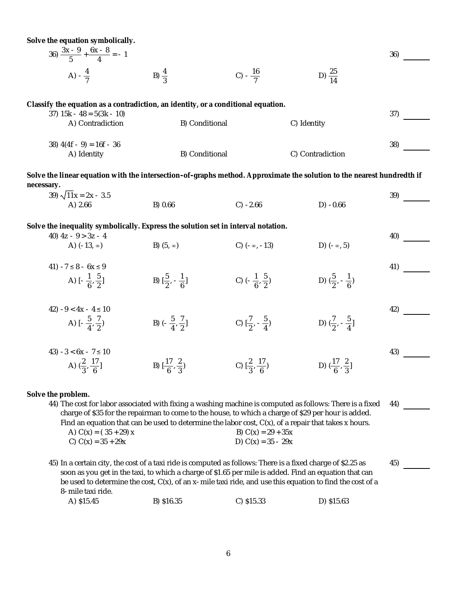**Solve the equation symbolically.**

| $36) \frac{3x-9}{5} + \frac{6x-8}{4} = -1$ |                  |                    |                    | 36) |
|--------------------------------------------|------------------|--------------------|--------------------|-----|
| A) $-\frac{4}{7}$                          | B) $\frac{4}{2}$ | C) $-\frac{16}{7}$ | D) $\frac{25}{14}$ |     |

**Classify the equation as a contradiction, an identity, or a conditional equation.**

| $37)$ 15k - 48 = 5(3k - 10)<br>A) Contradiction | B) Conditional | C) Identity      | 37  |
|-------------------------------------------------|----------------|------------------|-----|
| $38)$ 4(4f - 9) = 16f - 36<br>A) Identity       | B) Conditional | C) Contradiction | 38) |

**Solve the linear equation with the intersection-of-graphs method. Approximate the solution to the nearest hundredth if necessary.**

| $39) \sqrt{11x} = 2x - 3.5$<br>A) 2.66                                            | B) 0.66                                     | $C) -2.66$                                  | $D) -0.66$                                  | 39) |
|-----------------------------------------------------------------------------------|---------------------------------------------|---------------------------------------------|---------------------------------------------|-----|
| Solve the inequality symbolically. Express the solution set in interval notation. |                                             |                                             |                                             |     |
| 40) $4z - 9 > 3z - 4$<br>A) $(-13, \infty)$                                       | B) $(5, \infty)$                            | C) $(-\infty, -13)$                         | D) $(-\infty, 5)$                           | 40) |
| 41) $-7 \le 8 - 6x \le 9$<br>A) $[-\frac{1}{6},\frac{5}{2}]$                      | B) $\left[\frac{5}{2}, -\frac{1}{6}\right]$ | C) $\left(-\frac{1}{6},\frac{5}{2}\right)$  | D) $(\frac{5}{2}, -\frac{1}{6})$            | 41) |
| 42) $-9 < 4x - 4 \le 10$<br>A) $[-\frac{5}{4},\frac{7}{2})$                       | B) $\left(-\frac{5}{4},\frac{7}{2}\right]$  | C) $\left[\frac{7}{2}, -\frac{5}{4}\right)$ | D) $(\frac{7}{2}, -\frac{5}{4})$            | 42) |
| 43) $-3 < 6x - 7 \le 10$<br>A) $\left(\frac{2}{3}, \frac{17}{6}\right]$           | B) $\left[\frac{17}{6}, \frac{2}{3}\right)$ | C) $\left[\frac{2}{3}, \frac{17}{6}\right)$ | D) $\left(\frac{17}{6}, \frac{2}{3}\right]$ | 43) |

**Solve the problem.**

44) The cost for labor associated with fixing a washing machine is computed as follows: There is a fixed charge of \$35 for the repairman to come to the house, to which a charge of \$29 per hour is added. The cost for labor associated with fixing a washing machine is computed as follows: There is a fixed — 44)<br>charge of \$35 for the repairman to come to the house, to which a charge of \$29 per hour is added.<br>Find an equation A)  $C(x) = (35 + 29) x$  B)  $C(x) = 29 + 35x$ C)  $C(x) = 35 + 29x$  D)  $C(x) = 35 - 29x$ 

45) In a certain city, the cost of a taxi ride is computed as follows: There is a fixed charge of \$2.25 as soon as you get in the taxi, to which a charge of \$1.65 per mile is added. Find an equation that can be used to determine the cost, C(x), of an x-mile taxi ride, and use this equation to find the cost of a In a certain city, the cost of a taxi ride is computed as follows: There is a fixed charge of \$2.25 as  $45$ <br>soon as you get in the taxi, to which a charge of \$1.65 per mile is added. Find an equation that can<br>be used to d

| A) \$15.45 | B) \$16.35 | $C)$ \$15.33 | D) \$15.63 |
|------------|------------|--------------|------------|
|            |            |              |            |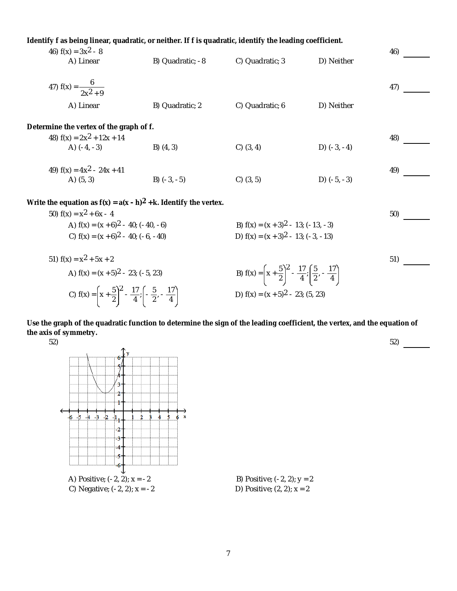**Identify f as being linear, quadratic, or neither. If f is quadratic, identify the leading coefficient.**

| 46) $f(x) = 3x^2 - 8$                                                |                  |                                        |               | 46) |
|----------------------------------------------------------------------|------------------|----------------------------------------|---------------|-----|
| A) Linear                                                            | B) Quadratic; -8 | C) Quadratic; 3                        | D) Neither    |     |
| 47) $f(x) = \frac{6}{2x^2 + 9}$                                      |                  |                                        |               | 47) |
| A) Linear                                                            | B) Quadratic; 2  | C) Quadratic; 6                        | D) Neither    |     |
| Determine the vertex of the graph of f.                              |                  |                                        |               |     |
| 48) $f(x) = 2x^2 + 12x + 14$                                         |                  |                                        |               | 48) |
| A) $(-4, -3)$                                                        | B) $(4, 3)$      | $C)$ (3, 4)                            | D) $(-3, -4)$ |     |
| 49) $f(x) = 4x^2 - 24x + 41$                                         |                  |                                        |               | 49) |
| A) $(5, 3)$                                                          | B) $(-3, -5)$    | $C)$ (3, 5)                            | D) $(-5, -3)$ |     |
| Write the equation as $f(x) = a(x - h)^2 + k$ . Identify the vertex. |                  |                                        |               |     |
| 50) $f(x) = x^2 + 6x - 4$                                            |                  |                                        |               | 50) |
| A) $f(x) = (x + 6)^2 - 40$ ; (-40, -6)                               |                  | B) $f(x) = (x + 3)^2 - 13$ ; (-13, -3) |               |     |
| C) $f(x) = (x + 6)^2 - 40$ ; (-6, -40)                               |                  | D) $f(x) = (x + 3)^2 - 13$ ; (-3, -13) |               |     |
|                                                                      |                  |                                        |               |     |

51) 
$$
f(x) = x^2 + 5x + 2
$$
  
\nA)  $f(x) = (x + 5)^2 - 23$ ;  $(-5, 23)$   
\nB)  $f(x) = \left(x + \frac{5}{2}\right)^2 - \frac{17}{4}$ ;  $\left(\frac{5}{2}, -\frac{17}{4}\right)$   
\nC)  $f(x) = \left(x + \frac{5}{2}\right)^2 - \frac{17}{4}$ ;  $\left(-\frac{5}{2}, -\frac{17}{4}\right)$   
\nD)  $f(x) = (x + 5)^2 - 23$ ;  $(5, 23)$ 

**Use the graph of the quadratic function to determine the sign of the leading coefficient, the vertex, and the equation of the axis of symmetry.**

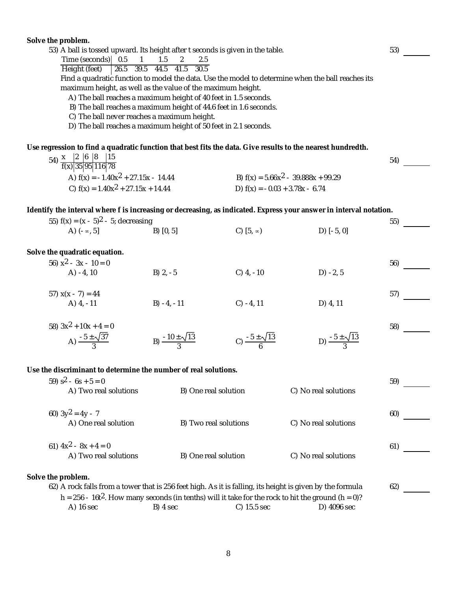|                                                                                                                  | Solve the problem.                                                                                                                      |                                                                 |                                  |                                                                                                                    | 53) |  |
|------------------------------------------------------------------------------------------------------------------|-----------------------------------------------------------------------------------------------------------------------------------------|-----------------------------------------------------------------|----------------------------------|--------------------------------------------------------------------------------------------------------------------|-----|--|
|                                                                                                                  | 53) A ball is tossed upward. Its height after t seconds is given in the table.<br>Time (seconds) 0.5<br>$\mathbf{1}$<br>1.5<br>2<br>2.5 |                                                                 |                                  |                                                                                                                    |     |  |
|                                                                                                                  | Height (feet)                                                                                                                           | 26.5 39.5 44.5 41.5 30.5                                        |                                  |                                                                                                                    |     |  |
| Find a quadratic function to model the data. Use the model to determine when the ball reaches its                |                                                                                                                                         |                                                                 |                                  |                                                                                                                    |     |  |
| maximum height, as well as the value of the maximum height.                                                      |                                                                                                                                         |                                                                 |                                  |                                                                                                                    |     |  |
| A) The ball reaches a maximum height of 40 feet in 1.5 seconds.                                                  |                                                                                                                                         |                                                                 |                                  |                                                                                                                    |     |  |
| B) The ball reaches a maximum height of 44.6 feet in 1.6 seconds.<br>C) The ball never reaches a maximum height. |                                                                                                                                         |                                                                 |                                  |                                                                                                                    |     |  |
|                                                                                                                  |                                                                                                                                         | D) The ball reaches a maximum height of 50 feet in 2.1 seconds. |                                  |                                                                                                                    |     |  |
|                                                                                                                  |                                                                                                                                         |                                                                 |                                  |                                                                                                                    |     |  |
|                                                                                                                  | Use regression to find a quadratic function that best fits the data. Give results to the nearest hundredth.                             |                                                                 |                                  |                                                                                                                    |     |  |
|                                                                                                                  | 54) $\frac{x}{f(x)$ 35 95 116 78                                                                                                        |                                                                 |                                  |                                                                                                                    | 54) |  |
|                                                                                                                  |                                                                                                                                         |                                                                 |                                  |                                                                                                                    |     |  |
|                                                                                                                  | A) $f(x) = -1.40x^2 + 27.15x - 14.44$                                                                                                   |                                                                 |                                  | B) $f(x) = 5.66x^2 - 39.888x + 99.29$                                                                              |     |  |
|                                                                                                                  | C) $f(x) = 1.40x^2 + 27.15x + 14.44$                                                                                                    |                                                                 | D) $f(x) = -0.03 + 3.78x - 6.74$ |                                                                                                                    |     |  |
|                                                                                                                  |                                                                                                                                         |                                                                 |                                  |                                                                                                                    |     |  |
|                                                                                                                  |                                                                                                                                         |                                                                 |                                  | Identify the interval where f is increasing or decreasing, as indicated. Express your answer in interval notation. |     |  |
|                                                                                                                  | 55) $f(x) = (x - 5)^2 - 5$ ; decreasing<br>A) $(-\infty, 5]$                                                                            |                                                                 |                                  |                                                                                                                    | 55) |  |
|                                                                                                                  |                                                                                                                                         | B) [0, 5]                                                       | C) $[5, \infty)$                 | $D$ ) $[-5, 0]$                                                                                                    |     |  |
|                                                                                                                  | Solve the quadratic equation.                                                                                                           |                                                                 |                                  |                                                                                                                    |     |  |
|                                                                                                                  | 56) $x^2 - 3x - 10 = 0$                                                                                                                 |                                                                 |                                  |                                                                                                                    | 56) |  |
|                                                                                                                  | $A) - 4, 10$                                                                                                                            | $B)$ 2, $-5$                                                    | $C)$ 4, -10                      | $D) -2, 5$                                                                                                         |     |  |
|                                                                                                                  |                                                                                                                                         |                                                                 |                                  |                                                                                                                    |     |  |
|                                                                                                                  | 57) $x(x - 7) = 44$                                                                                                                     |                                                                 |                                  |                                                                                                                    | 57) |  |
|                                                                                                                  | A) $4, -11$                                                                                                                             | B) $-4, -11$                                                    | $C) - 4, 11$                     | D) 4, 11                                                                                                           |     |  |
|                                                                                                                  |                                                                                                                                         |                                                                 |                                  |                                                                                                                    |     |  |
|                                                                                                                  | 58) $3x^2 + 10x + 4 = 0$                                                                                                                |                                                                 |                                  |                                                                                                                    | 58) |  |
|                                                                                                                  | A) $\frac{-5 \pm \sqrt{37}}{3}$                                                                                                         | B) $\frac{-10 \pm \sqrt{13}}{3}$                                | C) $\frac{-5 \pm \sqrt{13}}{6}$  | D) $\frac{-5 \pm \sqrt{13}}{3}$                                                                                    |     |  |
|                                                                                                                  |                                                                                                                                         |                                                                 |                                  |                                                                                                                    |     |  |
|                                                                                                                  |                                                                                                                                         |                                                                 |                                  |                                                                                                                    |     |  |
|                                                                                                                  | Use the discriminant to determine the number of real solutions.                                                                         |                                                                 |                                  |                                                                                                                    |     |  |
|                                                                                                                  | 59) $s^2 - 6s + 5 = 0$                                                                                                                  |                                                                 |                                  |                                                                                                                    | 59) |  |
|                                                                                                                  | A) Two real solutions                                                                                                                   | B) One real solution                                            |                                  | C) No real solutions                                                                                               |     |  |
|                                                                                                                  |                                                                                                                                         |                                                                 |                                  |                                                                                                                    |     |  |
|                                                                                                                  | 60) $3y^2 = 4y - 7$                                                                                                                     |                                                                 |                                  |                                                                                                                    | 60) |  |
|                                                                                                                  | A) One real solution                                                                                                                    | B) Two real solutions                                           |                                  | C) No real solutions                                                                                               |     |  |
|                                                                                                                  |                                                                                                                                         |                                                                 |                                  |                                                                                                                    |     |  |
|                                                                                                                  | 61) $4x^2 - 8x + 4 = 0$                                                                                                                 |                                                                 |                                  |                                                                                                                    | 61) |  |
|                                                                                                                  | A) Two real solutions                                                                                                                   | B) One real solution                                            |                                  | C) No real solutions                                                                                               |     |  |
|                                                                                                                  | Solve the problem.                                                                                                                      |                                                                 |                                  |                                                                                                                    |     |  |
|                                                                                                                  | 62) A rock falls from a tower that is 256 feet high. As it is falling, its height is given by the formula                               |                                                                 |                                  |                                                                                                                    | 62) |  |
|                                                                                                                  | $h = 256 - 16t^2$ . How many seconds (in tenths) will it take for the rock to hit the ground (h = 0)?                                   |                                                                 |                                  |                                                                                                                    |     |  |
|                                                                                                                  | A) 16 sec                                                                                                                               | B) 4 sec                                                        | C) 15.5 sec                      | D) 4096 sec                                                                                                        |     |  |
|                                                                                                                  |                                                                                                                                         |                                                                 |                                  |                                                                                                                    |     |  |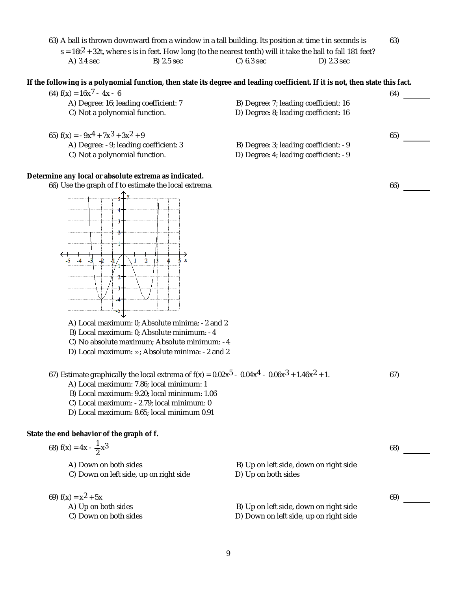| 63) A ball is thrown downward from a window in a tall building. Its position at time t in seconds is                                                           |                                                                                  |              | 63) |
|----------------------------------------------------------------------------------------------------------------------------------------------------------------|----------------------------------------------------------------------------------|--------------|-----|
| $s = 16t^2 + 32t$ , where s is in feet. How long (to the nearest tenth) will it take the ball to fall 181 feet?<br>A) 3.4 sec<br>B) 2.5 sec                    | $C)$ 6.3 sec                                                                     | $D)$ 2.3 sec |     |
|                                                                                                                                                                |                                                                                  |              |     |
| If the following is a polynomial function, then state its degree and leading coefficient. If it is not, then state this fact.<br>64) $f(x) = 16x^{7} - 4x - 6$ |                                                                                  |              | 64) |
| A) Degree: 16; leading coefficient: 7                                                                                                                          | B) Degree: 7; leading coefficient: 16                                            |              |     |
| C) Not a polynomial function.                                                                                                                                  | D) Degree: 8; leading coefficient: 16                                            |              |     |
| 65) $f(x) = -9x^4 + 7x^3 + 3x^2 + 9$                                                                                                                           |                                                                                  |              | 65) |
| A) Degree: -9; leading coefficient: 3                                                                                                                          | B) Degree: 3; leading coefficient: -9                                            |              |     |
| C) Not a polynomial function.                                                                                                                                  | D) Degree: 4; leading coefficient: -9                                            |              |     |
| Determine any local or absolute extrema as indicated.                                                                                                          |                                                                                  |              |     |
| 66) Use the graph of f to estimate the local extrema.                                                                                                          |                                                                                  |              | 66) |
|                                                                                                                                                                |                                                                                  |              |     |
|                                                                                                                                                                |                                                                                  |              |     |
|                                                                                                                                                                |                                                                                  |              |     |
|                                                                                                                                                                |                                                                                  |              |     |
|                                                                                                                                                                |                                                                                  |              |     |
| $\mathbf{x}$                                                                                                                                                   |                                                                                  |              |     |
|                                                                                                                                                                |                                                                                  |              |     |
|                                                                                                                                                                |                                                                                  |              |     |
|                                                                                                                                                                |                                                                                  |              |     |
|                                                                                                                                                                |                                                                                  |              |     |
| A) Local maximum: 0; Absolute minima: -2 and 2<br>B) Local maximum: 0; Absolute minimum: -4                                                                    |                                                                                  |              |     |
| C) No absolute maximum; Absolute minimum: -4                                                                                                                   |                                                                                  |              |     |
| D) Local maximum: $\infty$ ; Absolute minima: -2 and 2                                                                                                         |                                                                                  |              |     |
|                                                                                                                                                                |                                                                                  |              |     |
| 67) Estimate graphically the local extrema of $f(x) = 0.02x^5 - 0.04x^4 - 0.06x^3 + 1.46x^2 + 1.$<br>A) Local maximum: 7.86; local minimum: 1                  |                                                                                  |              | 67) |
| B) Local maximum: 9.20; local minimum: 1.06                                                                                                                    |                                                                                  |              |     |
| C) Local maximum: -2.79; local minimum: 0                                                                                                                      |                                                                                  |              |     |
| D) Local maximum: 8.65; local minimum 0.91                                                                                                                     |                                                                                  |              |     |
| State the end behavior of the graph of f.                                                                                                                      |                                                                                  |              |     |
| 68) $f(x) = 4x - \frac{1}{2}x^3$                                                                                                                               |                                                                                  |              | 68) |
| A) Down on both sides                                                                                                                                          | B) Up on left side, down on right side                                           |              |     |
| C) Down on left side, up on right side                                                                                                                         | D) Up on both sides                                                              |              |     |
|                                                                                                                                                                |                                                                                  |              |     |
| 69) $f(x) = x^2 + 5x$                                                                                                                                          |                                                                                  |              | 69) |
| A) Up on both sides<br>C) Down on both sides                                                                                                                   | B) Up on left side, down on right side<br>D) Down on left side, up on right side |              |     |
|                                                                                                                                                                |                                                                                  |              |     |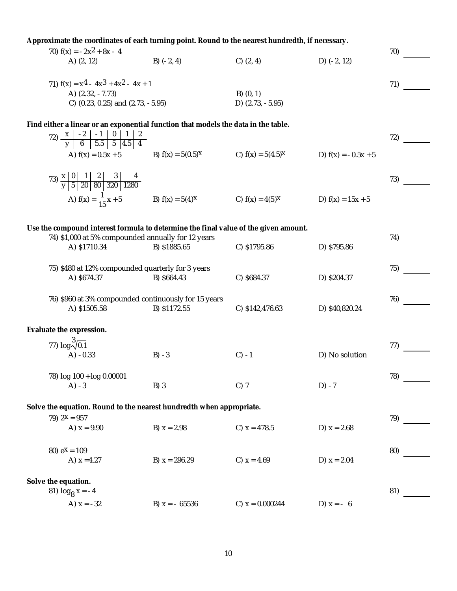| Approximate the coordinates of each turning point. Round to the nearest hundredth, if necessary.                       |                                                                   |                    |                       |     |
|------------------------------------------------------------------------------------------------------------------------|-------------------------------------------------------------------|--------------------|-----------------------|-----|
| 70) $f(x) = -2x^2 + 8x - 4$                                                                                            |                                                                   |                    |                       | 70) |
| A) $(2, 12)$                                                                                                           | B) $(-2, 4)$                                                      | $C)$ $(2, 4)$      | D) $(-2, 12)$         |     |
|                                                                                                                        |                                                                   |                    |                       |     |
| 71) $f(x) = x^4 - 4x^3 + 4x^2 - 4x + 1$                                                                                |                                                                   |                    |                       | 71) |
| A) (2.32, -7.73)                                                                                                       |                                                                   | $B)$ $(0, 1)$      |                       |     |
| C) (0.23, 0.25) and (2.73, -5.95)                                                                                      |                                                                   | D) $(2.73, -5.95)$ |                       |     |
| Find either a linear or an exponential function that models the data in the table.                                     |                                                                   |                    |                       |     |
|                                                                                                                        |                                                                   |                    |                       |     |
|                                                                                                                        |                                                                   |                    |                       | 72) |
| A) $f(x) = 0.5x + 5$                                                                                                   | B) $f(x) = 5(0.5)^x$ C) $f(x) = 5(4.5)^x$                         |                    | D) $f(x) = -0.5x + 5$ |     |
|                                                                                                                        |                                                                   |                    |                       |     |
|                                                                                                                        |                                                                   |                    |                       | 73) |
| 73) $\frac{x}{y}$ $\begin{array}{ c c c c c } \hline 1 & 2 & 3 & 4 \\ \hline y & 5 & 20 & 80 & 320 & 1280 \end{array}$ |                                                                   |                    |                       |     |
|                                                                                                                        | A) $f(x) = \frac{1}{15}x + 5$ B) $f(x) = 5(4)x$ C) $f(x) = 4(5)x$ |                    | D) $f(x) = 15x + 5$   |     |
|                                                                                                                        |                                                                   |                    |                       |     |
|                                                                                                                        |                                                                   |                    |                       |     |
| Use the compound interest formula to determine the final value of the given amount.                                    |                                                                   |                    |                       |     |
| 74) \$1,000 at 5% compounded annually for 12 years                                                                     |                                                                   |                    |                       | 74) |
| A) \$1710.34                                                                                                           | B) \$1885.65                                                      | C) \$1795.86       | D) \$795.86           |     |
|                                                                                                                        |                                                                   |                    |                       |     |
| 75) \$480 at 12% compounded quarterly for 3 years                                                                      |                                                                   |                    |                       | 75) |
| A) \$674.37                                                                                                            | B) \$664.43                                                       | C) \$684.37        | D) \$204.37           |     |
|                                                                                                                        |                                                                   |                    |                       |     |
| 76) \$960 at 3% compounded continuously for 15 years<br>A) \$1505.58                                                   | B) \$1172.55                                                      | C) \$142,476.63    | D) \$40,820.24        | 76) |
|                                                                                                                        |                                                                   |                    |                       |     |
| Evaluate the expression.                                                                                               |                                                                   |                    |                       |     |
|                                                                                                                        |                                                                   |                    |                       |     |
| 77) $log \frac{3}{\sqrt{0.1}}$                                                                                         |                                                                   |                    |                       | 77) |
| $A) -0.33$                                                                                                             | $B) -3$                                                           | $C) -1$            | D) No solution        |     |
|                                                                                                                        |                                                                   |                    |                       |     |
| 78) log 100 + log 0.00001                                                                                              |                                                                   |                    |                       | 78) |
| $A) -3$                                                                                                                | $B)$ 3                                                            | $C)$ 7             | $D) -7$               |     |
|                                                                                                                        |                                                                   |                    |                       |     |
| Solve the equation. Round to the nearest hundredth when appropriate.                                                   |                                                                   |                    |                       |     |
| 79) $2^x = 957$<br>A) $x = 9.90$                                                                                       | B) $x = 2.98$                                                     | C) $x = 478.5$     | D) $x = 2.68$         | 79) |
|                                                                                                                        |                                                                   |                    |                       |     |
| 80) $e^{X} = 109$                                                                                                      |                                                                   |                    |                       |     |
| A) $x = 4.27$                                                                                                          | B) $x = 296.29$                                                   | C) $x = 4.69$      | D) $x = 2.04$         | 80) |
|                                                                                                                        |                                                                   |                    |                       |     |
| Solve the equation.                                                                                                    |                                                                   |                    |                       |     |
| 81) $log_8 x = -4$                                                                                                     |                                                                   |                    |                       | 81) |
| A) $x = -32$                                                                                                           | B) $x = -65536$                                                   | C) $x = 0.000244$  | D) $x = -6$           |     |
|                                                                                                                        |                                                                   |                    |                       |     |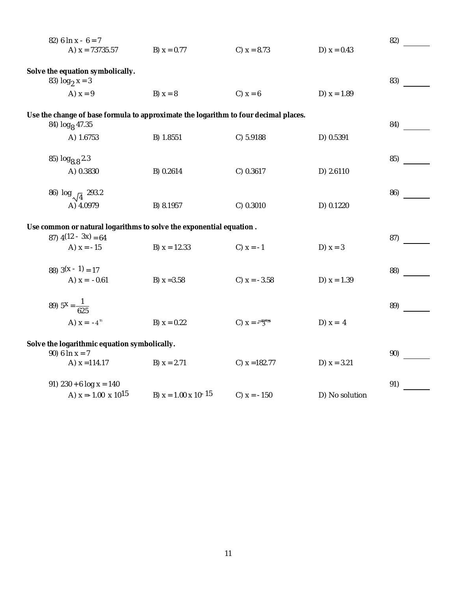| 82) 6 $\ln x - 6 = 7$                                                                                             |                               |                       |                | 82) |  |
|-------------------------------------------------------------------------------------------------------------------|-------------------------------|-----------------------|----------------|-----|--|
| A) $x = 73735.57$                                                                                                 | B) $x = 0.77$                 | C) $x = 8.73$         | D) $x = 0.43$  |     |  |
| Solve the equation symbolically.<br>83) $log_2 x = 3$                                                             |                               |                       |                | 83) |  |
| A) $x = 9$                                                                                                        | B) $x = 8$                    | C) $x = 6$            | D) $x = 1.89$  |     |  |
| Use the change of base formula to approximate the logarithm to four decimal places.<br>84) log <sub>8</sub> 47.35 |                               |                       |                | 84) |  |
| A) 1.6753                                                                                                         | B) 1.8551                     | C) 5.9188             | D) 0.5391      |     |  |
| 85) $log_{8.8} 2.3$                                                                                               |                               |                       |                | 85) |  |
| A) 0.3830                                                                                                         | B) 0.2614                     | C) 0.3617             | D) 2.6110      |     |  |
| 86) $log_{\sqrt{4}}$ 293.2<br>A) 4.0979                                                                           | B) 8.1957                     | C) 0.3010             | D) 0.1220      | 86) |  |
| Use common or natural logarithms to solve the exponential equation.<br>87) $4(12 - 3x) = 64$                      |                               |                       |                |     |  |
| A) $x = -15$                                                                                                      | B) $x = 12.33$                | C) $x = -1$           | D) $x = 3$     |     |  |
| 88) $3(x - 1) = 17$<br>A) $x = -0.61$                                                                             | B) $x = 3.58$                 | C) $x = -3.58$        | D) $x = 1.39$  | 88) |  |
| 89) $5^x = \frac{1}{625}$                                                                                         |                               |                       |                | 89) |  |
| A) $x = -4^{m}$                                                                                                   | B) $x = 0.22$                 | C) $X = M^{TM}M^{TM}$ | D) $x = 4$     |     |  |
| Solve the logarithmic equation symbolically.<br>90) 6 $\ln x = 7$                                                 |                               |                       |                | 90) |  |
| A) $x = 114.17$                                                                                                   | B) $x = 2.71$                 | C) $x = 182.77$       | D) $x = 3.21$  |     |  |
| 91) $230 + 6$ log $x = 140$                                                                                       |                               |                       |                | 91) |  |
| A) $x = -1.00 \times 10^{15}$                                                                                     | B) $x = 1.00 \times 10^{-15}$ | C) $x = -150$         | D) No solution |     |  |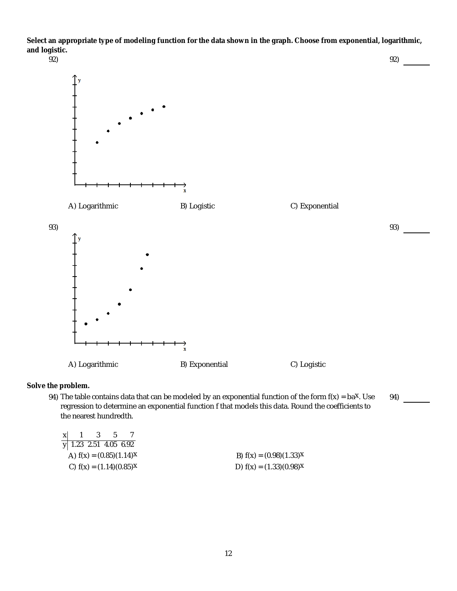**Select an appropriate type of modeling function for the data shown in the graph. Choose from exponential, logarithmic, and logistic.**



**Solve the problem.**

94) The table contains data that can be modeled by an exponential function of the form  $f(x) = ba^x$ . Use regression to determine an exponential function f that models this data. Round the coefficients to the nearest hundredth. The table contains data that can be modeled by an exponential function of the form f(x) = ba<sup>x</sup>. Use 94)<br>regression to determine an exponential function f that models this data. Round the coefficients to<br>he nearest hundre

| x | $\cdot$ 3 | - 5 |                              |
|---|-----------|-----|------------------------------|
|   |           |     | $\sqrt{1.23}$ 2.51 4.05 6.92 |
|   |           |     | A) $f(x) = (0.85)(1.14)^{x}$ |
|   |           |     | C) $f(x) = (1.14)(0.85)^{x}$ |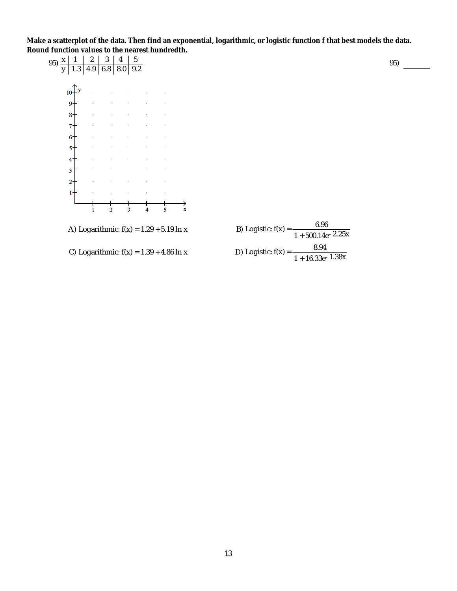**Make a scatterplot of the data. Then find an exponential, logarithmic, or logistic function f that best models the data. Round function values to the nearest hundredth.**

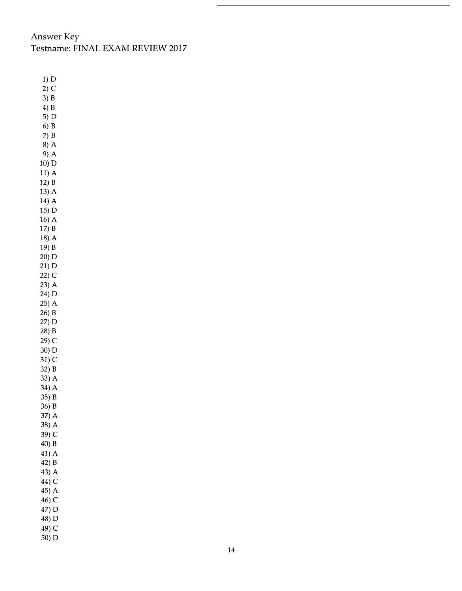## Answer Key Testname: FINAL EXAM REVIEW 2017

1) D 2) C  $3)$  B 4) B 5) D 6) B 7) B 8) A 9) A 10) D  $11)$  A 12) B 13) A 14) A  $15) D$  $16)$  A 17) B 18) A 19) B 20) D 21) D 22) C 23) A 24) D 25) A 26) B 27) D 28) B 29) C 30) D 31) C 32) B 33) A 34) A 35) B 36) B 37) A 38) A 39) C 40) B 41) A 42) B 43) A 44) C 45) A 46) C 47) D 48) D 49) C 50) D